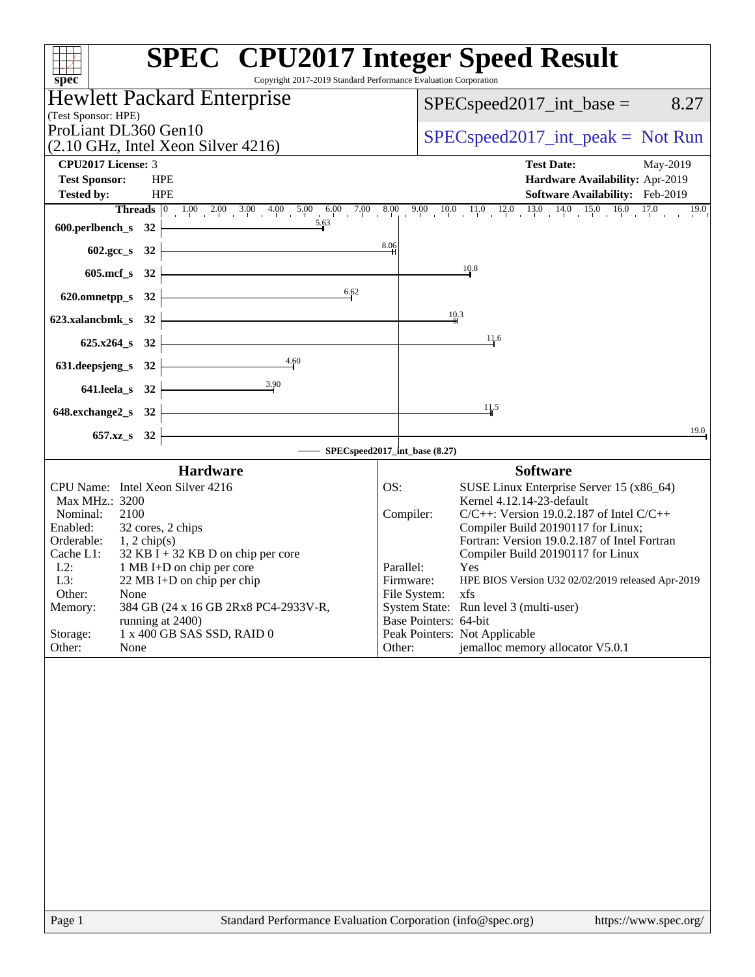|                                                                                          | <b>SPEC<sup>®</sup></b> CPU2017 Integer Speed Result                                                                                                                           |
|------------------------------------------------------------------------------------------|--------------------------------------------------------------------------------------------------------------------------------------------------------------------------------|
| $spec^*$                                                                                 | Copyright 2017-2019 Standard Performance Evaluation Corporation                                                                                                                |
| <b>Hewlett Packard Enterprise</b>                                                        | $SPEC speed2017\_int\_base =$<br>8.27                                                                                                                                          |
| (Test Sponsor: HPE)<br>ProLiant DL360 Gen10                                              |                                                                                                                                                                                |
| $(2.10 \text{ GHz}, \text{Intel Xeon Silver } 4216)$                                     | $SPEC speed2017\_int\_peak = Not Run$                                                                                                                                          |
| <b>CPU2017 License: 3</b>                                                                | <b>Test Date:</b><br>May-2019                                                                                                                                                  |
| <b>Test Sponsor:</b><br><b>HPE</b>                                                       | Hardware Availability: Apr-2019                                                                                                                                                |
| <b>Tested by:</b><br><b>HPE</b>                                                          | Software Availability: Feb-2019                                                                                                                                                |
|                                                                                          | <b>Threads</b> $\begin{bmatrix} 0 & 1.00 & 2.00 & 3.00 & 4.00 & 5.00 & 6.00 & 7.00 & 8.00 & 9.00 & 10.0 & 11.0 & 12.0 & 13.0 & 14.0 & 15.0 & 16.0 & 17.0 & 19.0 \end{bmatrix}$ |
| 600.perlbench_s 32                                                                       |                                                                                                                                                                                |
| 602.gcc_s 32                                                                             | 8.06                                                                                                                                                                           |
| 605.mcf_s 32                                                                             | 10.8                                                                                                                                                                           |
| 6.62<br>$620.0$ mnetpp_s $32$                                                            |                                                                                                                                                                                |
|                                                                                          | 10.3                                                                                                                                                                           |
| 623.xalancbmk_s 32                                                                       |                                                                                                                                                                                |
| $625.x264_s$ 32                                                                          | 11.6                                                                                                                                                                           |
| 4.60<br>631. deepsjeng_s 32                                                              |                                                                                                                                                                                |
| $\overline{3.90}$<br>$641.$ leela_s 32                                                   |                                                                                                                                                                                |
| 648.exchange $2$ <sub>_S</sub> 32                                                        | 11.5                                                                                                                                                                           |
| 657.xz <sub>_8</sub> 32                                                                  | 19.0                                                                                                                                                                           |
|                                                                                          | - SPECspeed2017_int_base (8.27)                                                                                                                                                |
| <b>Hardware</b>                                                                          | <b>Software</b>                                                                                                                                                                |
| CPU Name: Intel Xeon Silver 4216                                                         | OS:<br>SUSE Linux Enterprise Server 15 (x86_64)                                                                                                                                |
| Max MHz.: 3200<br>Nominal:<br>2100                                                       | Kernel 4.12.14-23-default<br>Compiler:<br>$C/C++$ : Version 19.0.2.187 of Intel $C/C++$                                                                                        |
| Enabled:<br>32 cores, 2 chips                                                            | Compiler Build 20190117 for Linux;                                                                                                                                             |
| Orderable:<br>$1, 2$ chip(s)                                                             | Fortran: Version 19.0.2.187 of Intel Fortran                                                                                                                                   |
| Cache L1:<br>$32$ KB I + 32 KB D on chip per core<br>$L2$ :<br>1 MB I+D on chip per core | Compiler Build 20190117 for Linux<br>Parallel:<br>Yes                                                                                                                          |
| L3:<br>$22 \text{ MB}$ I+D on chip per chip                                              | HPE BIOS Version U32 02/02/2019 released Apr-2019<br>Firmware:                                                                                                                 |
| Other:<br>None                                                                           | File System: xfs                                                                                                                                                               |
| Memory:<br>384 GB (24 x 16 GB 2Rx8 PC4-2933V-R,<br>running at 2400)                      | System State: Run level 3 (multi-user)<br>Base Pointers: 64-bit                                                                                                                |
| 1 x 400 GB SAS SSD, RAID 0<br>Storage:                                                   | Peak Pointers: Not Applicable                                                                                                                                                  |
| Other:<br>None                                                                           | jemalloc memory allocator V5.0.1<br>Other:                                                                                                                                     |
|                                                                                          |                                                                                                                                                                                |
|                                                                                          |                                                                                                                                                                                |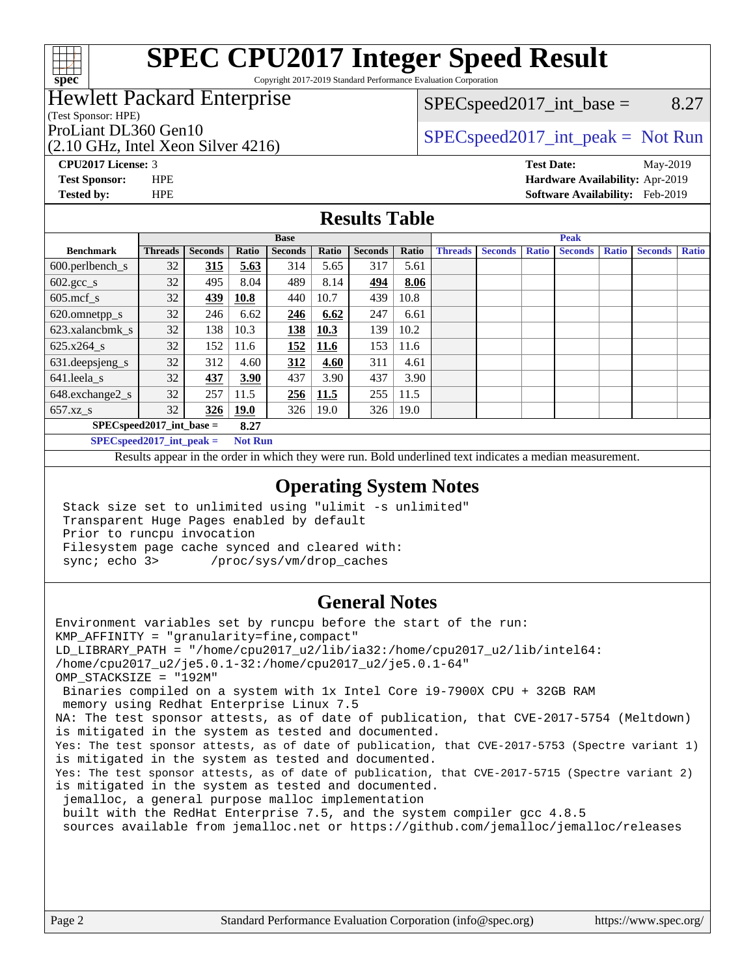

Copyright 2017-2019 Standard Performance Evaluation Corporation

## Hewlett Packard Enterprise

(Test Sponsor: HPE)

(2.10 GHz, Intel Xeon Silver 4216)

 $SPEC speed2017\_int\_base =$  8.27

## ProLiant DL360 Gen10  $SPEC speed2017\_int\_peak = Not Run$

**[CPU2017 License:](http://www.spec.org/auto/cpu2017/Docs/result-fields.html#CPU2017License)** 3 **[Test Date:](http://www.spec.org/auto/cpu2017/Docs/result-fields.html#TestDate)** May-2019 **[Test Sponsor:](http://www.spec.org/auto/cpu2017/Docs/result-fields.html#TestSponsor)** HPE **[Hardware Availability:](http://www.spec.org/auto/cpu2017/Docs/result-fields.html#HardwareAvailability)** Apr-2019 **[Tested by:](http://www.spec.org/auto/cpu2017/Docs/result-fields.html#Testedby)** HPE **[Software Availability:](http://www.spec.org/auto/cpu2017/Docs/result-fields.html#SoftwareAvailability)** Feb-2019

### **[Results Table](http://www.spec.org/auto/cpu2017/Docs/result-fields.html#ResultsTable)**

|                                    | <b>Base</b>    |                |             |                |             | <b>Peak</b>    |       |                |                |              |                |              |                |              |
|------------------------------------|----------------|----------------|-------------|----------------|-------------|----------------|-------|----------------|----------------|--------------|----------------|--------------|----------------|--------------|
| <b>Benchmark</b>                   | <b>Threads</b> | <b>Seconds</b> | Ratio       | <b>Seconds</b> | Ratio       | <b>Seconds</b> | Ratio | <b>Threads</b> | <b>Seconds</b> | <b>Ratio</b> | <b>Seconds</b> | <b>Ratio</b> | <b>Seconds</b> | <b>Ratio</b> |
| $600.$ perlbench $\mathsf{S}$      | 32             | 315            | 5.63        | 314            | 5.65        | 317            | 5.61  |                |                |              |                |              |                |              |
| $602.\text{sec}\_\text{s}$         | 32             | 495            | 8.04        | 489            | 8.14        | 494            | 8.06  |                |                |              |                |              |                |              |
| $605$ .mcf s                       | 32             | 439            | 10.8        | 440            | 10.7        | 439            | 10.8  |                |                |              |                |              |                |              |
| 620.omnetpp_s                      | 32             | 246            | 6.62        | 246            | 6.62        | 247            | 6.61  |                |                |              |                |              |                |              |
| 623.xalancbmk s                    | 32             | 138            | 10.3        | 138            | <b>10.3</b> | 139            | 10.2  |                |                |              |                |              |                |              |
| $625.x264$ s                       | 32             | 152            | 11.6        | 152            | 11.6        | 153            | 11.6  |                |                |              |                |              |                |              |
| 631.deepsjeng_s                    | 32             | 312            | 4.60        | 312            | 4.60        | 311            | 4.61  |                |                |              |                |              |                |              |
| $641$ .leela_s                     | 32             | 437            | 3.90        | 437            | 3.90        | 437            | 3.90  |                |                |              |                |              |                |              |
| 648.exchange2_s                    | 32             | 257            | 11.5        | 256            | 11.5        | 255            | 11.5  |                |                |              |                |              |                |              |
| $657.xz$ <sub>_S</sub>             | 32             | 326            | <b>19.0</b> | 326            | 19.0        | 326            | 19.0  |                |                |              |                |              |                |              |
| $SPECspeed2017$ int base =<br>8.27 |                |                |             |                |             |                |       |                |                |              |                |              |                |              |

**[SPECspeed2017\\_int\\_peak =](http://www.spec.org/auto/cpu2017/Docs/result-fields.html#SPECspeed2017intpeak) Not Run**

Results appear in the [order in which they were run.](http://www.spec.org/auto/cpu2017/Docs/result-fields.html#RunOrder) Bold underlined text [indicates a median measurement.](http://www.spec.org/auto/cpu2017/Docs/result-fields.html#Median)

#### **[Operating System Notes](http://www.spec.org/auto/cpu2017/Docs/result-fields.html#OperatingSystemNotes)**

 Stack size set to unlimited using "ulimit -s unlimited" Transparent Huge Pages enabled by default Prior to runcpu invocation Filesystem page cache synced and cleared with: sync; echo 3> /proc/sys/vm/drop\_caches

#### **[General Notes](http://www.spec.org/auto/cpu2017/Docs/result-fields.html#GeneralNotes)**

Environment variables set by runcpu before the start of the run: KMP\_AFFINITY = "granularity=fine,compact" LD\_LIBRARY\_PATH = "/home/cpu2017\_u2/lib/ia32:/home/cpu2017\_u2/lib/intel64: /home/cpu2017\_u2/je5.0.1-32:/home/cpu2017\_u2/je5.0.1-64" OMP\_STACKSIZE = "192M" Binaries compiled on a system with 1x Intel Core i9-7900X CPU + 32GB RAM memory using Redhat Enterprise Linux 7.5 NA: The test sponsor attests, as of date of publication, that CVE-2017-5754 (Meltdown) is mitigated in the system as tested and documented. Yes: The test sponsor attests, as of date of publication, that CVE-2017-5753 (Spectre variant 1) is mitigated in the system as tested and documented. Yes: The test sponsor attests, as of date of publication, that CVE-2017-5715 (Spectre variant 2) is mitigated in the system as tested and documented. jemalloc, a general purpose malloc implementation built with the RedHat Enterprise 7.5, and the system compiler gcc 4.8.5 sources available from jemalloc.net or<https://github.com/jemalloc/jemalloc/releases>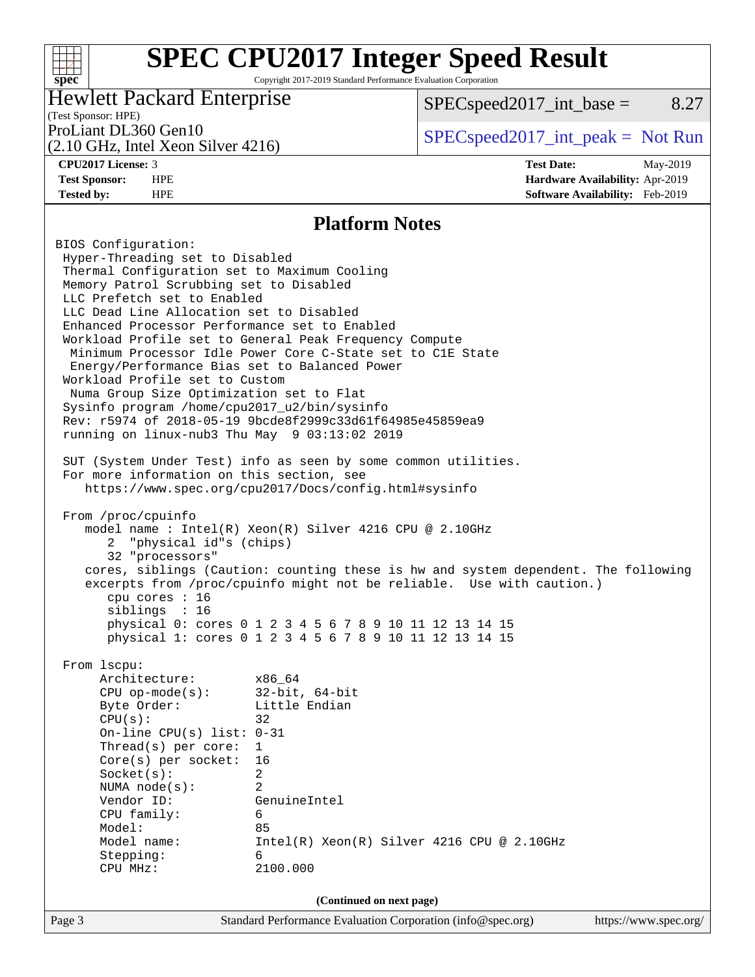Copyright 2017-2019 Standard Performance Evaluation Corporation

### Hewlett Packard Enterprise

 $SPEC speed2017\_int\_base =$  8.27

# (Test Sponsor: HPE)

(2.10 GHz, Intel Xeon Silver 4216)

ProLiant DL360 Gen10  $SPEC speed2017\_int\_peak = Not Run$ 

**[spec](http://www.spec.org/)**

 $+\ +$ 

**[CPU2017 License:](http://www.spec.org/auto/cpu2017/Docs/result-fields.html#CPU2017License)** 3 **[Test Date:](http://www.spec.org/auto/cpu2017/Docs/result-fields.html#TestDate)** May-2019 **[Test Sponsor:](http://www.spec.org/auto/cpu2017/Docs/result-fields.html#TestSponsor)** HPE **[Hardware Availability:](http://www.spec.org/auto/cpu2017/Docs/result-fields.html#HardwareAvailability)** Apr-2019 **[Tested by:](http://www.spec.org/auto/cpu2017/Docs/result-fields.html#Testedby)** HPE **[Software Availability:](http://www.spec.org/auto/cpu2017/Docs/result-fields.html#SoftwareAvailability)** Feb-2019

#### **[Platform Notes](http://www.spec.org/auto/cpu2017/Docs/result-fields.html#PlatformNotes)**

Page 3 Standard Performance Evaluation Corporation [\(info@spec.org\)](mailto:info@spec.org) <https://www.spec.org/> BIOS Configuration: Hyper-Threading set to Disabled Thermal Configuration set to Maximum Cooling Memory Patrol Scrubbing set to Disabled LLC Prefetch set to Enabled LLC Dead Line Allocation set to Disabled Enhanced Processor Performance set to Enabled Workload Profile set to General Peak Frequency Compute Minimum Processor Idle Power Core C-State set to C1E State Energy/Performance Bias set to Balanced Power Workload Profile set to Custom Numa Group Size Optimization set to Flat Sysinfo program /home/cpu2017\_u2/bin/sysinfo Rev: r5974 of 2018-05-19 9bcde8f2999c33d61f64985e45859ea9 running on linux-nub3 Thu May 9 03:13:02 2019 SUT (System Under Test) info as seen by some common utilities. For more information on this section, see <https://www.spec.org/cpu2017/Docs/config.html#sysinfo> From /proc/cpuinfo model name : Intel(R) Xeon(R) Silver 4216 CPU @ 2.10GHz 2 "physical id"s (chips) 32 "processors" cores, siblings (Caution: counting these is hw and system dependent. The following excerpts from /proc/cpuinfo might not be reliable. Use with caution.) cpu cores : 16 siblings : 16 physical 0: cores 0 1 2 3 4 5 6 7 8 9 10 11 12 13 14 15 physical 1: cores 0 1 2 3 4 5 6 7 8 9 10 11 12 13 14 15 From lscpu: Architecture: x86\_64 CPU op-mode(s): 32-bit, 64-bit Byte Order: Little Endian  $CPU(s):$  32 On-line CPU(s) list: 0-31 Thread(s) per core: 1 Core(s) per socket: 16 Socket(s): 2 NUMA node(s): 2 Vendor ID: GenuineIntel CPU family: 6 Model: 85 Model name: Intel(R) Xeon(R) Silver 4216 CPU @ 2.10GHz Stepping: 6 CPU MHz: 2100.000 **(Continued on next page)**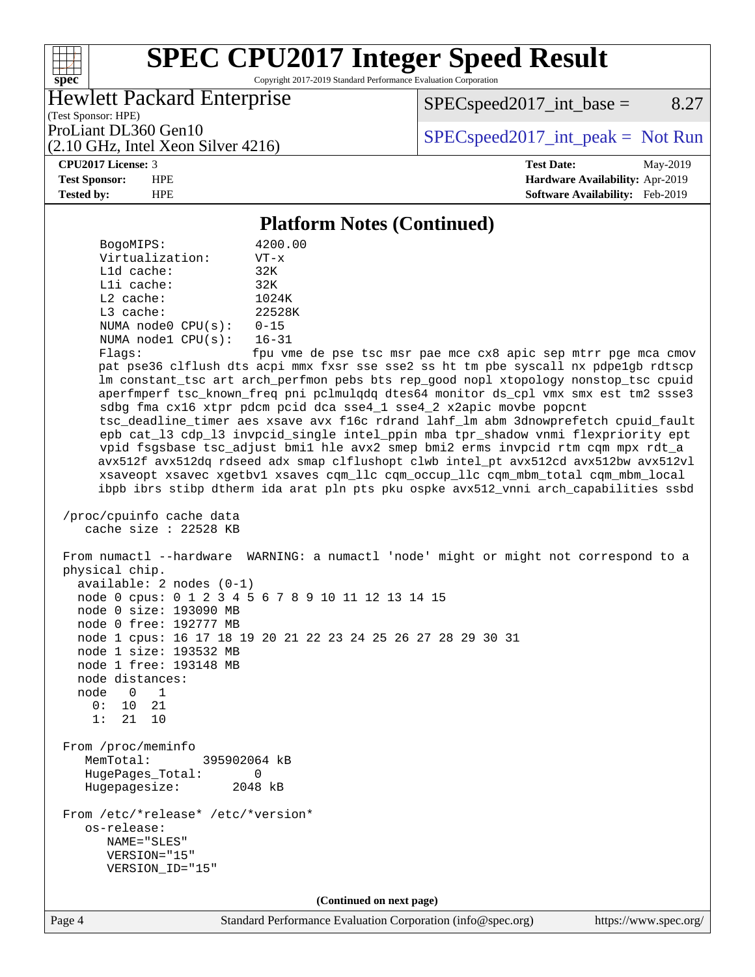Copyright 2017-2019 Standard Performance Evaluation Corporation

### Hewlett Packard Enterprise

 $SPEC speed2017\_int\_base =$  8.27

(Test Sponsor: HPE) (2.10 GHz, Intel Xeon Silver 4216)

ProLiant DL360 Gen10<br>  $SPEC speed2017\_int\_peak = Not Run$ 

#### **[CPU2017 License:](http://www.spec.org/auto/cpu2017/Docs/result-fields.html#CPU2017License)** 3 **[Test Date:](http://www.spec.org/auto/cpu2017/Docs/result-fields.html#TestDate)** May-2019

**[spec](http://www.spec.org/)**

 $+\!\!+\!\!$ 

**[Test Sponsor:](http://www.spec.org/auto/cpu2017/Docs/result-fields.html#TestSponsor)** HPE **[Hardware Availability:](http://www.spec.org/auto/cpu2017/Docs/result-fields.html#HardwareAvailability)** Apr-2019 **[Tested by:](http://www.spec.org/auto/cpu2017/Docs/result-fields.html#Testedby)** HPE **[Software Availability:](http://www.spec.org/auto/cpu2017/Docs/result-fields.html#SoftwareAvailability)** Feb-2019

## **[Platform Notes \(Continued\)](http://www.spec.org/auto/cpu2017/Docs/result-fields.html#PlatformNotes)**

Page 4 Standard Performance Evaluation Corporation [\(info@spec.org\)](mailto:info@spec.org) <https://www.spec.org/> BogoMIPS: 4200.00 Virtualization: VT-x L1d cache: 32K L1i cache: 32K L2 cache: 1024K L3 cache: 22528K NUMA node0 CPU(s): 0-15 NUMA node1 CPU(s): 16-31 Flags: fpu vme de pse tsc msr pae mce cx8 apic sep mtrr pge mca cmov pat pse36 clflush dts acpi mmx fxsr sse sse2 ss ht tm pbe syscall nx pdpe1gb rdtscp lm constant\_tsc art arch\_perfmon pebs bts rep\_good nopl xtopology nonstop\_tsc cpuid aperfmperf tsc\_known\_freq pni pclmulqdq dtes64 monitor ds\_cpl vmx smx est tm2 ssse3 sdbg fma cx16 xtpr pdcm pcid dca sse4\_1 sse4\_2 x2apic movbe popcnt tsc\_deadline\_timer aes xsave avx f16c rdrand lahf\_lm abm 3dnowprefetch cpuid\_fault epb cat\_l3 cdp\_l3 invpcid\_single intel\_ppin mba tpr\_shadow vnmi flexpriority ept vpid fsgsbase tsc\_adjust bmi1 hle avx2 smep bmi2 erms invpcid rtm cqm mpx rdt\_a avx512f avx512dq rdseed adx smap clflushopt clwb intel\_pt avx512cd avx512bw avx512vl xsaveopt xsavec xgetbv1 xsaves cqm\_llc cqm\_occup\_llc cqm\_mbm\_total cqm\_mbm\_local ibpb ibrs stibp dtherm ida arat pln pts pku ospke avx512\_vnni arch\_capabilities ssbd /proc/cpuinfo cache data cache size : 22528 KB From numactl --hardware WARNING: a numactl 'node' might or might not correspond to a physical chip. available: 2 nodes (0-1) node 0 cpus: 0 1 2 3 4 5 6 7 8 9 10 11 12 13 14 15 node 0 size: 193090 MB node 0 free: 192777 MB node 1 cpus: 16 17 18 19 20 21 22 23 24 25 26 27 28 29 30 31 node 1 size: 193532 MB node 1 free: 193148 MB node distances: node 0 1 0: 10 21 1: 21 10 From /proc/meminfo MemTotal: 395902064 kB HugePages\_Total: 0 Hugepagesize: 2048 kB From /etc/\*release\* /etc/\*version\* os-release: NAME="SLES" VERSION="15" VERSION\_ID="15" **(Continued on next page)**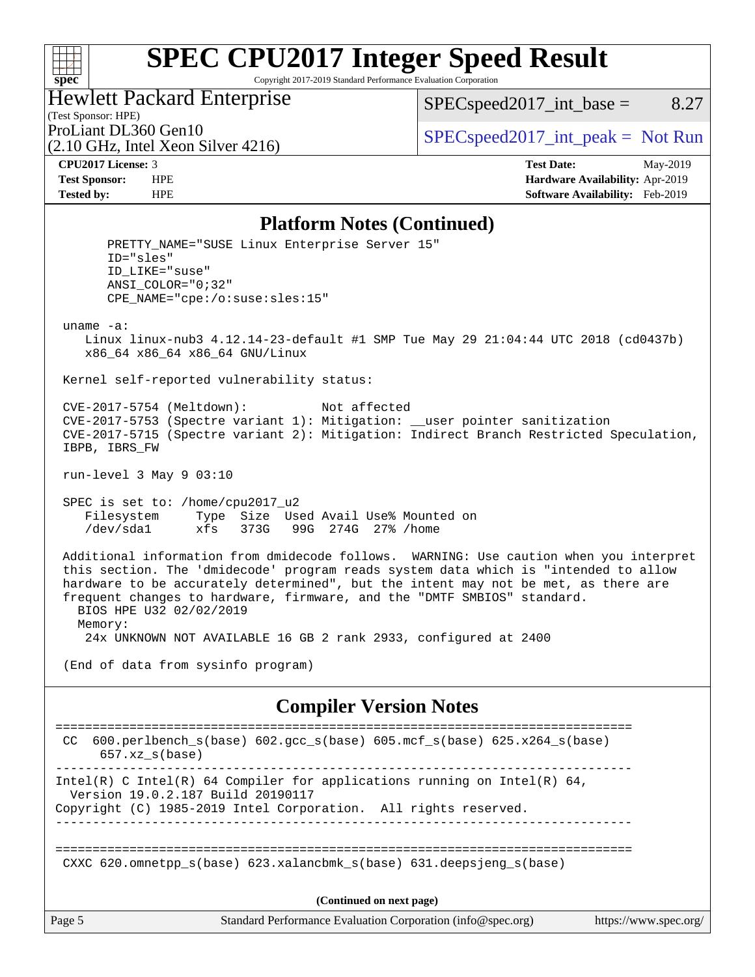#### $+\!\!+\!\!$ **[spec](http://www.spec.org/)**

# **[SPEC CPU2017 Integer Speed Result](http://www.spec.org/auto/cpu2017/Docs/result-fields.html#SPECCPU2017IntegerSpeedResult)**

Copyright 2017-2019 Standard Performance Evaluation Corporation

## Hewlett Packard Enterprise

(2.10 GHz, Intel Xeon Silver 4216)

 $SPEC speed2017\_int\_base =$  8.27

(Test Sponsor: HPE)

ProLiant DL360 Gen10  $SPEC speed2017\_int\_peak = Not Run$ 

**[CPU2017 License:](http://www.spec.org/auto/cpu2017/Docs/result-fields.html#CPU2017License)** 3 **[Test Date:](http://www.spec.org/auto/cpu2017/Docs/result-fields.html#TestDate)** May-2019 **[Test Sponsor:](http://www.spec.org/auto/cpu2017/Docs/result-fields.html#TestSponsor)** HPE **[Hardware Availability:](http://www.spec.org/auto/cpu2017/Docs/result-fields.html#HardwareAvailability)** Apr-2019 **[Tested by:](http://www.spec.org/auto/cpu2017/Docs/result-fields.html#Testedby)** HPE **[Software Availability:](http://www.spec.org/auto/cpu2017/Docs/result-fields.html#SoftwareAvailability)** Feb-2019

#### **[Platform Notes \(Continued\)](http://www.spec.org/auto/cpu2017/Docs/result-fields.html#PlatformNotes)**

PRETTY NAME="SUSE Linux Enterprise Server 15" ID="sles" ID\_LIKE="suse" ANSI\_COLOR="0;32" CPE\_NAME="cpe:/o:suse:sles:15" uname -a: Linux linux-nub3 4.12.14-23-default #1 SMP Tue May 29 21:04:44 UTC 2018 (cd0437b) x86\_64 x86\_64 x86\_64 GNU/Linux Kernel self-reported vulnerability status: CVE-2017-5754 (Meltdown): Not affected CVE-2017-5753 (Spectre variant 1): Mitigation: \_\_user pointer sanitization CVE-2017-5715 (Spectre variant 2): Mitigation: Indirect Branch Restricted Speculation, IBPB, IBRS\_FW run-level 3 May 9 03:10 SPEC is set to: /home/cpu2017\_u2 Filesystem Type Size Used Avail Use% Mounted on /dev/sda1 xfs 373G 99G 274G 27% /home Additional information from dmidecode follows. WARNING: Use caution when you interpret this section. The 'dmidecode' program reads system data which is "intended to allow hardware to be accurately determined", but the intent may not be met, as there are frequent changes to hardware, firmware, and the "DMTF SMBIOS" standard. BIOS HPE U32 02/02/2019 Memory: 24x UNKNOWN NOT AVAILABLE 16 GB 2 rank 2933, configured at 2400 (End of data from sysinfo program) **[Compiler Version Notes](http://www.spec.org/auto/cpu2017/Docs/result-fields.html#CompilerVersionNotes)** ============================================================================== CC 600.perlbench\_s(base) 602.gcc\_s(base) 605.mcf\_s(base) 625.x264\_s(base) 657.xz\_s(base) ------------------------------------------------------------------------------ Intel(R) C Intel(R) 64 Compiler for applications running on Intel(R)  $64$ , Version 19.0.2.187 Build 20190117 Copyright (C) 1985-2019 Intel Corporation. All rights reserved. ------------------------------------------------------------------------------ ============================================================================== CXXC 620.omnetpp s(base) 623.xalancbmk s(base) 631.deepsjeng s(base)

**(Continued on next page)**

Page 5 Standard Performance Evaluation Corporation [\(info@spec.org\)](mailto:info@spec.org) <https://www.spec.org/>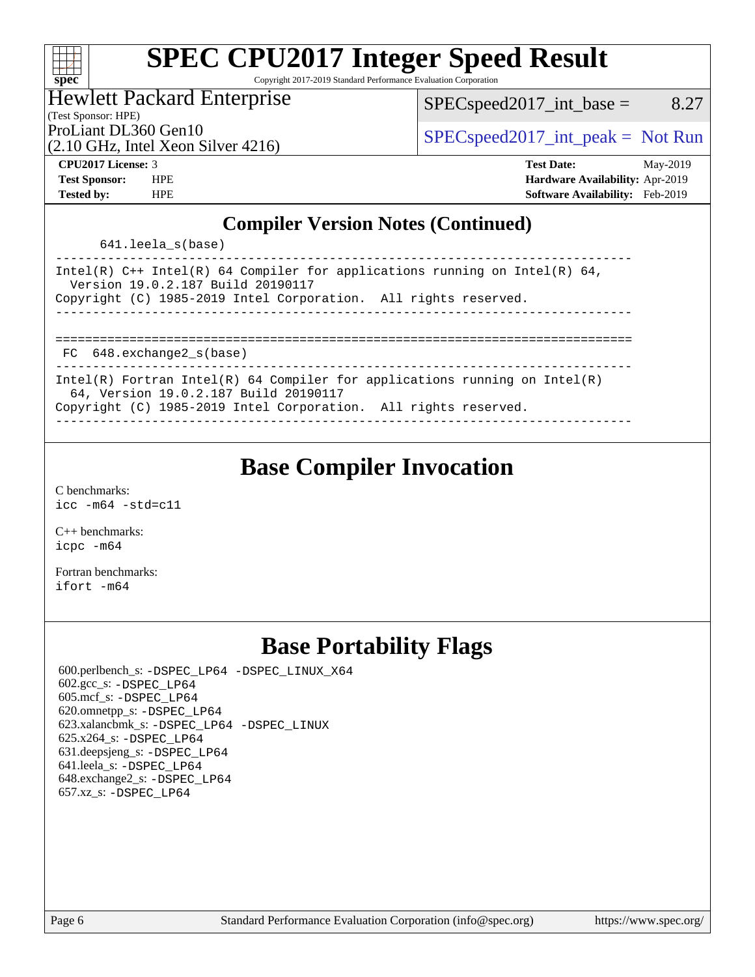#### $\pm\pm\prime$ **[spec](http://www.spec.org/)**

# **[SPEC CPU2017 Integer Speed Result](http://www.spec.org/auto/cpu2017/Docs/result-fields.html#SPECCPU2017IntegerSpeedResult)**

Copyright 2017-2019 Standard Performance Evaluation Corporation

## Hewlett Packard Enterprise

 $SPEC speed2017\_int\_base =$  8.27

(Test Sponsor: HPE)

(2.10 GHz, Intel Xeon Silver 4216)

ProLiant DL360 Gen10  $SPEC speed2017\_int\_peak = Not Run$ 

**[Tested by:](http://www.spec.org/auto/cpu2017/Docs/result-fields.html#Testedby)** HPE **[Software Availability:](http://www.spec.org/auto/cpu2017/Docs/result-fields.html#SoftwareAvailability)** Feb-2019

**[CPU2017 License:](http://www.spec.org/auto/cpu2017/Docs/result-fields.html#CPU2017License)** 3 **[Test Date:](http://www.spec.org/auto/cpu2017/Docs/result-fields.html#TestDate)** May-2019 **[Test Sponsor:](http://www.spec.org/auto/cpu2017/Docs/result-fields.html#TestSponsor)** HPE **[Hardware Availability:](http://www.spec.org/auto/cpu2017/Docs/result-fields.html#HardwareAvailability)** Apr-2019

### **[Compiler Version Notes \(Continued\)](http://www.spec.org/auto/cpu2017/Docs/result-fields.html#CompilerVersionNotes)**

641.leela\_s(base)

| Intel(R) $C++$ Intel(R) 64 Compiler for applications running on Intel(R) 64,<br>Version 19.0.2.187 Build 20190117<br>Copyright (C) 1985-2019 Intel Corporation. All rights reserved. |
|--------------------------------------------------------------------------------------------------------------------------------------------------------------------------------------|
|                                                                                                                                                                                      |
|                                                                                                                                                                                      |
| FC 648.exchange2 s(base)                                                                                                                                                             |
| Intel(R) Fortran Intel(R) 64 Compiler for applications running on Intel(R)                                                                                                           |
| 64, Version 19.0.2.187 Build 20190117                                                                                                                                                |
| Copyright (C) 1985-2019 Intel Corporation. All rights reserved.                                                                                                                      |

------------------------------------------------------------------------------

# **[Base Compiler Invocation](http://www.spec.org/auto/cpu2017/Docs/result-fields.html#BaseCompilerInvocation)**

[C benchmarks](http://www.spec.org/auto/cpu2017/Docs/result-fields.html#Cbenchmarks): [icc -m64 -std=c11](http://www.spec.org/cpu2017/results/res2019q2/cpu2017-20190513-13794.flags.html#user_CCbase_intel_icc_64bit_c11_33ee0cdaae7deeeab2a9725423ba97205ce30f63b9926c2519791662299b76a0318f32ddfffdc46587804de3178b4f9328c46fa7c2b0cd779d7a61945c91cd35)

[C++ benchmarks:](http://www.spec.org/auto/cpu2017/Docs/result-fields.html#CXXbenchmarks) [icpc -m64](http://www.spec.org/cpu2017/results/res2019q2/cpu2017-20190513-13794.flags.html#user_CXXbase_intel_icpc_64bit_4ecb2543ae3f1412ef961e0650ca070fec7b7afdcd6ed48761b84423119d1bf6bdf5cad15b44d48e7256388bc77273b966e5eb805aefd121eb22e9299b2ec9d9)

[Fortran benchmarks](http://www.spec.org/auto/cpu2017/Docs/result-fields.html#Fortranbenchmarks): [ifort -m64](http://www.spec.org/cpu2017/results/res2019q2/cpu2017-20190513-13794.flags.html#user_FCbase_intel_ifort_64bit_24f2bb282fbaeffd6157abe4f878425411749daecae9a33200eee2bee2fe76f3b89351d69a8130dd5949958ce389cf37ff59a95e7a40d588e8d3a57e0c3fd751)

# **[Base Portability Flags](http://www.spec.org/auto/cpu2017/Docs/result-fields.html#BasePortabilityFlags)**

 600.perlbench\_s: [-DSPEC\\_LP64](http://www.spec.org/cpu2017/results/res2019q2/cpu2017-20190513-13794.flags.html#b600.perlbench_s_basePORTABILITY_DSPEC_LP64) [-DSPEC\\_LINUX\\_X64](http://www.spec.org/cpu2017/results/res2019q2/cpu2017-20190513-13794.flags.html#b600.perlbench_s_baseCPORTABILITY_DSPEC_LINUX_X64) 602.gcc\_s: [-DSPEC\\_LP64](http://www.spec.org/cpu2017/results/res2019q2/cpu2017-20190513-13794.flags.html#suite_basePORTABILITY602_gcc_s_DSPEC_LP64) 605.mcf\_s: [-DSPEC\\_LP64](http://www.spec.org/cpu2017/results/res2019q2/cpu2017-20190513-13794.flags.html#suite_basePORTABILITY605_mcf_s_DSPEC_LP64) 620.omnetpp\_s: [-DSPEC\\_LP64](http://www.spec.org/cpu2017/results/res2019q2/cpu2017-20190513-13794.flags.html#suite_basePORTABILITY620_omnetpp_s_DSPEC_LP64) 623.xalancbmk\_s: [-DSPEC\\_LP64](http://www.spec.org/cpu2017/results/res2019q2/cpu2017-20190513-13794.flags.html#suite_basePORTABILITY623_xalancbmk_s_DSPEC_LP64) [-DSPEC\\_LINUX](http://www.spec.org/cpu2017/results/res2019q2/cpu2017-20190513-13794.flags.html#b623.xalancbmk_s_baseCXXPORTABILITY_DSPEC_LINUX) 625.x264\_s: [-DSPEC\\_LP64](http://www.spec.org/cpu2017/results/res2019q2/cpu2017-20190513-13794.flags.html#suite_basePORTABILITY625_x264_s_DSPEC_LP64) 631.deepsjeng\_s: [-DSPEC\\_LP64](http://www.spec.org/cpu2017/results/res2019q2/cpu2017-20190513-13794.flags.html#suite_basePORTABILITY631_deepsjeng_s_DSPEC_LP64) 641.leela\_s: [-DSPEC\\_LP64](http://www.spec.org/cpu2017/results/res2019q2/cpu2017-20190513-13794.flags.html#suite_basePORTABILITY641_leela_s_DSPEC_LP64) 648.exchange2\_s: [-DSPEC\\_LP64](http://www.spec.org/cpu2017/results/res2019q2/cpu2017-20190513-13794.flags.html#suite_basePORTABILITY648_exchange2_s_DSPEC_LP64) 657.xz\_s: [-DSPEC\\_LP64](http://www.spec.org/cpu2017/results/res2019q2/cpu2017-20190513-13794.flags.html#suite_basePORTABILITY657_xz_s_DSPEC_LP64)